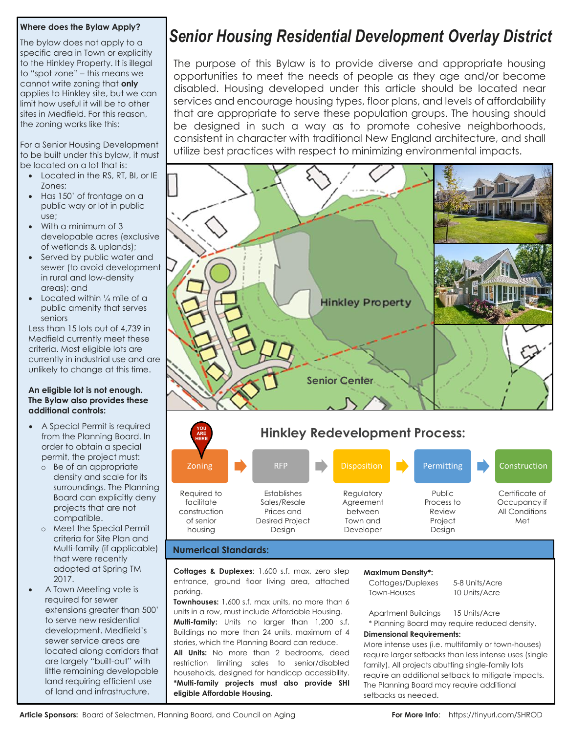# **Where does the Bylaw Apply?**

to the Hinkley Property. It is illeg<br>to "spot zone" – this means we The bylaw does not apply to a specific area in Town or explicitly to the Hinkley Property. It is illegal cannot write zoning that **only** applies to Hinkley site, but we can limit how useful it will be to other sites in Medfield. For this reason, the zoning works like this:

For a Senior Housing Development to be boilt under this bytaw<br>be located on a lot that is: to be built under this bylaw, it must

- Located in the RS, RT, BI, or IE Zones;
- zones;<br>• Has 150' of frontage on a public way or lot in public use;
- use;<br>• With a minimum of 3 developable acres (exclusive of wetlands & uplands);
- 2 Car Garage sewer (to avoid development in rural and low-density • Served by public water and areas); and
- e Located within 1/4 mile of a public amenity that serves seniors

seniors<br>Less than 15 lots out of 4,739 in Medfield currently meet these criteria. Most eligible lots are unlikely to change at this time. currently in industrial use and are

#### Landscaped Garden **The Bylaw also provides these**  Fabulous City Views **additional controls: An eligible lot is not enough.**

- A Special Permit is required from the Planning Board. In order to obtain a special permit, the project must:
	- o Be of an appropriate density and scale for its surroundings. The Planning Board can explicitly deny projects that are not compatible.
	- o Meet the Special Permit criteria for Site Plan and Multi-family (if applicable) that were recently adopted at Spring TM 2017.
- A Town Meeting vote is required for sewer extensions greater than 500' to serve new residential development. Medfield's sewer service areas are located along corridors that are largely "built-out" with little remaining developable land requiring efficient use of land and infrastructure.

# *Senior Housing Residential Development Overlay District*

The purpose of this Bylaw is to provide diverse and appropriate housing opportunities to meet the needs of people as they age and/or become disabled. Housing developed under this article should be located near services and encourage housing types, floor plans, and levels of affordability that are appropriate to serve these population groups. The housing should be designed in such a way as to promote cohesive neighborhoods, consistent in character with traditional New England architecture, and shall utilize best practices with respect to minimizing environmental impacts.





#### **Numerical Standards:**

**Cottages & Duplexes**: 1,600 s.f. max, zero step entrance, ground floor living area, attached parking.

**Townhouses:** 1,600 s.f. max units, no more than 6 units in a row, must include Affordable Housing. **Multi-family:** Units no larger than 1,200 s.f. Buildings no more than 24 units, maximum of 4 stories, which the Planning Board can reduce.

**All Units:** No more than 2 bedrooms, deed restriction limiting sales to senior/disabled households, designed for handicap accessibility. **\*Multi-family projects must also provide SHI eligible Affordable Housing.**

#### **Maximum Density\*:**

Cottages/Duplexes 5-8 Units/Acre Town-Houses 10 Units/Acre

Apartment Buildings 15 Units/Acre \* Planning Board may require reduced density.

#### **Dimensional Requirements:**

More intense uses (i.e. multifamily or town-houses) require larger setbacks than less intense uses (single family). All projects abutting single-family lots require an additional setback to mitigate impacts. The Planning Board may require additional setbacks as needed.